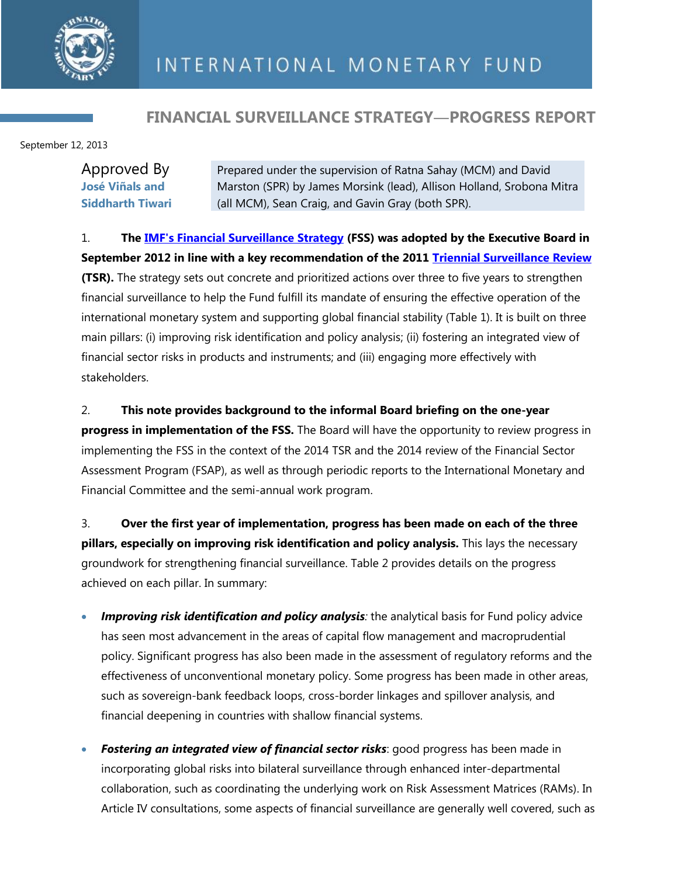

## **FINANCIAL SURVEILLANCE STRATEGY―PROGRESS REPORT**

September 12, 2013

| Approved By             |                                                                       |
|-------------------------|-----------------------------------------------------------------------|
|                         | Prepared under the supervision of Ratna Sahay (MCM) and David         |
| <b>José Viñals and</b>  | Marston (SPR) by James Morsink (lead), Allison Holland, Srobona Mitra |
| <b>Siddharth Tiwari</b> | (all MCM), Sean Craig, and Gavin Gray (both SPR).                     |

### 1. **The [IMF's Financial Surveillance Strategy](http://www.imf.org/external/np/pp/eng/2012/082812.pdf) (FSS) was adopted by the Executive Board in**

**September 2012 in line with a key recommendation of the 2011 [Triennial Surveillance Review](http://www.imf.org/external/np/pp/eng/2011/082911.pdf) (TSR).** The strategy sets out concrete and prioritized actions over three to five years to strengthen financial surveillance to help the Fund fulfill its mandate of ensuring the effective operation of the international monetary system and supporting global financial stability (Table 1). It is built on three main pillars: (i) improving risk identification and policy analysis; (ii) fostering an integrated view of financial sector risks in products and instruments; and (iii) engaging more effectively with stakeholders.

#### 2. **This note provides background to the informal Board briefing on the one-year**

**progress in implementation of the FSS.** The Board will have the opportunity to review progress in implementing the FSS in the context of the 2014 TSR and the 2014 review of the Financial Sector Assessment Program (FSAP), as well as through periodic reports to the International Monetary and Financial Committee and the semi-annual work program.

3. **Over the first year of implementation, progress has been made on each of the three pillars, especially on improving risk identification and policy analysis.** This lays the necessary groundwork for strengthening financial surveillance. Table 2 provides details on the progress achieved on each pillar. In summary:

- *Improving risk identification and policy analysis*: the analytical basis for Fund policy advice has seen most advancement in the areas of capital flow management and macroprudential policy. Significant progress has also been made in the assessment of regulatory reforms and the effectiveness of unconventional monetary policy. Some progress has been made in other areas, such as sovereign-bank feedback loops, cross-border linkages and spillover analysis, and financial deepening in countries with shallow financial systems.
- **Fostering an integrated view of financial sector risks:** good progress has been made in incorporating global risks into bilateral surveillance through enhanced inter-departmental collaboration, such as coordinating the underlying work on Risk Assessment Matrices (RAMs). In Article IV consultations, some aspects of financial surveillance are generally well covered, such as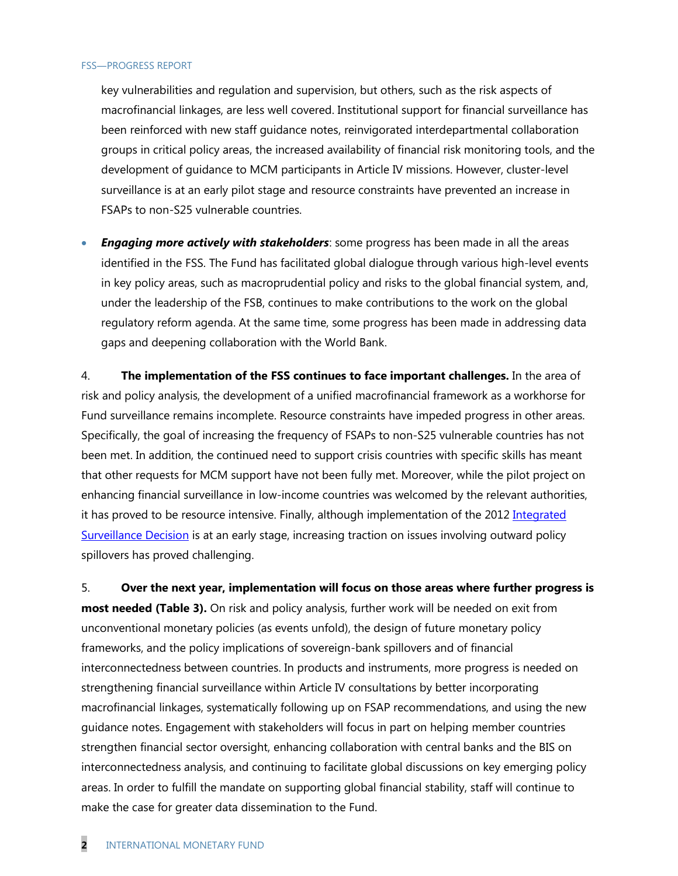#### FSS―PROGRESS REPORT

key vulnerabilities and regulation and supervision, but others, such as the risk aspects of macrofinancial linkages, are less well covered. Institutional support for financial surveillance has been reinforced with new staff guidance notes, reinvigorated interdepartmental collaboration groups in critical policy areas, the increased availability of financial risk monitoring tools, and the development of guidance to MCM participants in Article IV missions. However, cluster-level surveillance is at an early pilot stage and resource constraints have prevented an increase in FSAPs to non-S25 vulnerable countries.

 *Engaging more actively with stakeholders*: some progress has been made in all the areas identified in the FSS. The Fund has facilitated global dialogue through various high-level events in key policy areas, such as macroprudential policy and risks to the global financial system, and, under the leadership of the FSB, continues to make contributions to the work on the global regulatory reform agenda. At the same time, some progress has been made in addressing data gaps and deepening collaboration with the World Bank.

4. **The implementation of the FSS continues to face important challenges.** In the area of risk and policy analysis, the development of a unified macrofinancial framework as a workhorse for Fund surveillance remains incomplete. Resource constraints have impeded progress in other areas. Specifically, the goal of increasing the frequency of FSAPs to non-S25 vulnerable countries has not been met. In addition, the continued need to support crisis countries with specific skills has meant that other requests for MCM support have not been fully met. Moreover, while the pilot project on enhancing financial surveillance in low-income countries was welcomed by the relevant authorities, it has proved to be resource intensive. Finally, although implementation of the 2012 Integrated [Surveillance Decision](http://www.imf.org/external/np/pp/eng/2012/062612.pdf) is at an early stage, increasing traction on issues involving outward policy spillovers has proved challenging.

5. **Over the next year, implementation will focus on those areas where further progress is most needed (Table 3).** On risk and policy analysis, further work will be needed on exit from unconventional monetary policies (as events unfold), the design of future monetary policy frameworks, and the policy implications of sovereign-bank spillovers and of financial interconnectedness between countries. In products and instruments, more progress is needed on strengthening financial surveillance within Article IV consultations by better incorporating macrofinancial linkages, systematically following up on FSAP recommendations, and using the new guidance notes. Engagement with stakeholders will focus in part on helping member countries strengthen financial sector oversight, enhancing collaboration with central banks and the BIS on interconnectedness analysis, and continuing to facilitate global discussions on key emerging policy areas. In order to fulfill the mandate on supporting global financial stability, staff will continue to make the case for greater data dissemination to the Fund.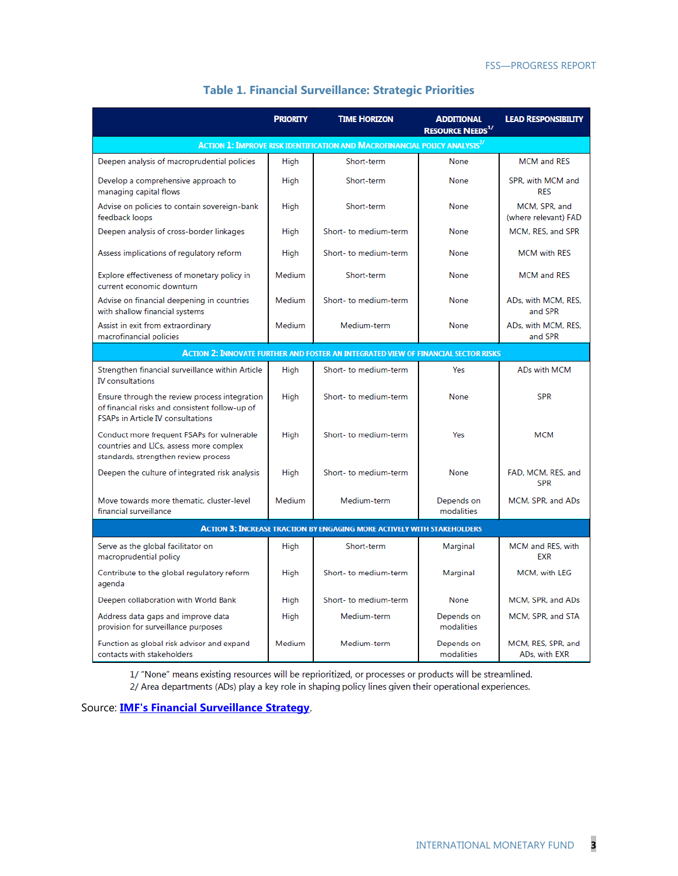|                                                                                                                                             | <b>PRIORITY</b> | <b>TIME HORIZON</b>                                                                          | <b>ADDITIONAL</b><br><b>RESOURCE NEEDS1/</b> | <b>LEAD RESPONSIBILITY</b>            |
|---------------------------------------------------------------------------------------------------------------------------------------------|-----------------|----------------------------------------------------------------------------------------------|----------------------------------------------|---------------------------------------|
|                                                                                                                                             |                 | <b>ACTION 1: IMPROVE RISK IDENTIFICATION AND MACROFINANCIAL POLICY ANALYSIS<sup>2/</sup></b> |                                              |                                       |
| Deepen analysis of macroprudential policies                                                                                                 | High            | Short-term                                                                                   | None                                         | <b>MCM</b> and RES                    |
| Develop a comprehensive approach to<br>managing capital flows                                                                               | High            | Short-term                                                                                   | None                                         | SPR, with MCM and<br><b>RES</b>       |
| Advise on policies to contain sovereign-bank<br>feedback loops                                                                              | High            | Short-term                                                                                   | None                                         | MCM, SPR, and<br>(where relevant) FAD |
| Deepen analysis of cross-border linkages                                                                                                    | High            | Short- to medium-term                                                                        | None                                         | MCM, RES, and SPR                     |
| Assess implications of regulatory reform                                                                                                    | High            | Short- to medium-term                                                                        | None                                         | <b>MCM with RES</b>                   |
| Explore effectiveness of monetary policy in<br>current economic downturn                                                                    | Medium          | Short-term                                                                                   | None                                         | <b>MCM</b> and RES                    |
| Advise on financial deepening in countries<br>with shallow financial systems                                                                | Medium          | Short- to medium-term                                                                        | None                                         | ADs, with MCM, RES,<br>and SPR        |
| Assist in exit from extraordinary<br>macrofinancial policies                                                                                | <b>Medium</b>   | Medium-term                                                                                  | None                                         | ADs. with MCM. RES.<br>and SPR        |
|                                                                                                                                             |                 | <b>ACTION 2: INNOVATE FURTHER AND FOSTER AN INTEGRATED VIEW OF FINANCIAL SECTOR RISKS</b>    |                                              |                                       |
| Strengthen financial surveillance within Article<br><b>IV</b> consultations                                                                 | High            | Short- to medium-term                                                                        | Yes                                          | ADs with MCM                          |
| Ensure through the review process integration<br>of financial risks and consistent follow-up of<br><b>FSAPs in Article IV consultations</b> | High            | Short- to medium-term                                                                        | None                                         | <b>SPR</b>                            |
| Conduct more frequent FSAPs for vulnerable<br>countries and LICs, assess more complex<br>standards, strengthen review process               | High            | Short- to medium-term                                                                        | Yes                                          | <b>MCM</b>                            |
| Deepen the culture of integrated risk analysis                                                                                              | High            | Short- to medium-term                                                                        | None                                         | FAD, MCM, RES, and<br><b>SPR</b>      |
| Move towards more thematic, cluster-level<br>financial surveillance                                                                         | Medium          | Medium-term                                                                                  | Depends on<br>modalities                     | MCM, SPR, and ADs                     |
| <b>ACTION 3: INCREASE TRACTION BY ENGAGING MORE ACTIVELY WITH STAKEHOLDERS</b>                                                              |                 |                                                                                              |                                              |                                       |
| Serve as the global facilitator on<br>macroprudential policy                                                                                | High            | Short-term                                                                                   | Marginal                                     | MCM and RES, with<br><b>FXR</b>       |
| Contribute to the global regulatory reform<br>agenda                                                                                        | High            | Short- to medium-term                                                                        | Marginal                                     | MCM, with LEG                         |
| Deepen collaboration with World Bank                                                                                                        | High            | Short- to medium-term                                                                        | None                                         | MCM, SPR, and ADs                     |
| Address data gaps and improve data<br>provision for surveillance purposes                                                                   | High            | Medium-term                                                                                  | Depends on<br>modalities                     | MCM, SPR, and STA                     |
| Function as global risk advisor and expand<br>contacts with stakeholders                                                                    | <b>Medium</b>   | Medium-term                                                                                  | Depends on<br>modalities                     | MCM, RES, SPR, and<br>ADs, with EXR   |

#### **Table 1. Financial Surveillance: Strategic Priorities**

1/ "None" means existing resources will be reprioritized, or processes or products will be streamlined. 2/ Area departments (ADs) play a key role in shaping policy lines given their operational experiences.

Source: **[IMF's Financial Surveillance Strategy](http://www.imf.org/external/np/pp/eng/2012/082812.pdf)**.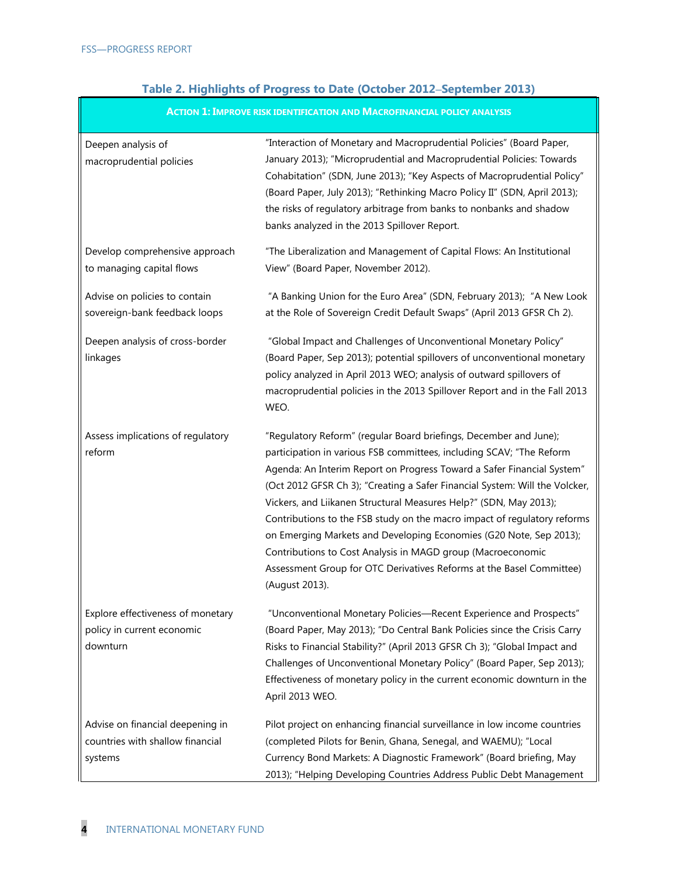## **Table 2. Highlights of Progress to Date (October 2012–September 2013)**

| <b>ACTION 1: IMPROVE RISK IDENTIFICATION AND MACROFINANCIAL POLICY ANALYSIS</b> |                                                                                                                                                                                                                                                                                                                                                                                                                                                                                                                                                                                                                                                                                    |
|---------------------------------------------------------------------------------|------------------------------------------------------------------------------------------------------------------------------------------------------------------------------------------------------------------------------------------------------------------------------------------------------------------------------------------------------------------------------------------------------------------------------------------------------------------------------------------------------------------------------------------------------------------------------------------------------------------------------------------------------------------------------------|
| Deepen analysis of<br>macroprudential policies                                  | "Interaction of Monetary and Macroprudential Policies" (Board Paper,<br>January 2013); "Microprudential and Macroprudential Policies: Towards<br>Cohabitation" (SDN, June 2013); "Key Aspects of Macroprudential Policy"<br>(Board Paper, July 2013); "Rethinking Macro Policy II" (SDN, April 2013);<br>the risks of regulatory arbitrage from banks to nonbanks and shadow<br>banks analyzed in the 2013 Spillover Report.                                                                                                                                                                                                                                                       |
| Develop comprehensive approach<br>to managing capital flows                     | "The Liberalization and Management of Capital Flows: An Institutional<br>View" (Board Paper, November 2012).                                                                                                                                                                                                                                                                                                                                                                                                                                                                                                                                                                       |
| Advise on policies to contain<br>sovereign-bank feedback loops                  | "A Banking Union for the Euro Area" (SDN, February 2013); "A New Look<br>at the Role of Sovereign Credit Default Swaps" (April 2013 GFSR Ch 2).                                                                                                                                                                                                                                                                                                                                                                                                                                                                                                                                    |
| Deepen analysis of cross-border<br>linkages                                     | "Global Impact and Challenges of Unconventional Monetary Policy"<br>(Board Paper, Sep 2013); potential spillovers of unconventional monetary<br>policy analyzed in April 2013 WEO; analysis of outward spillovers of<br>macroprudential policies in the 2013 Spillover Report and in the Fall 2013<br>WEO.                                                                                                                                                                                                                                                                                                                                                                         |
| Assess implications of regulatory<br>reform                                     | "Regulatory Reform" (regular Board briefings, December and June);<br>participation in various FSB committees, including SCAV; "The Reform<br>Agenda: An Interim Report on Progress Toward a Safer Financial System"<br>(Oct 2012 GFSR Ch 3); "Creating a Safer Financial System: Will the Volcker,<br>Vickers, and Liikanen Structural Measures Help?" (SDN, May 2013);<br>Contributions to the FSB study on the macro impact of regulatory reforms<br>on Emerging Markets and Developing Economies (G20 Note, Sep 2013);<br>Contributions to Cost Analysis in MAGD group (Macroeconomic<br>Assessment Group for OTC Derivatives Reforms at the Basel Committee)<br>(August 2013). |
| Explore effectiveness of monetary<br>policy in current economic<br>downturn     | "Unconventional Monetary Policies-Recent Experience and Prospects"<br>(Board Paper, May 2013); "Do Central Bank Policies since the Crisis Carry<br>Risks to Financial Stability?" (April 2013 GFSR Ch 3); "Global Impact and<br>Challenges of Unconventional Monetary Policy" (Board Paper, Sep 2013);<br>Effectiveness of monetary policy in the current economic downturn in the<br>April 2013 WEO.                                                                                                                                                                                                                                                                              |
| Advise on financial deepening in<br>countries with shallow financial<br>systems | Pilot project on enhancing financial surveillance in low income countries<br>(completed Pilots for Benin, Ghana, Senegal, and WAEMU); "Local<br>Currency Bond Markets: A Diagnostic Framework" (Board briefing, May<br>2013); "Helping Developing Countries Address Public Debt Management                                                                                                                                                                                                                                                                                                                                                                                         |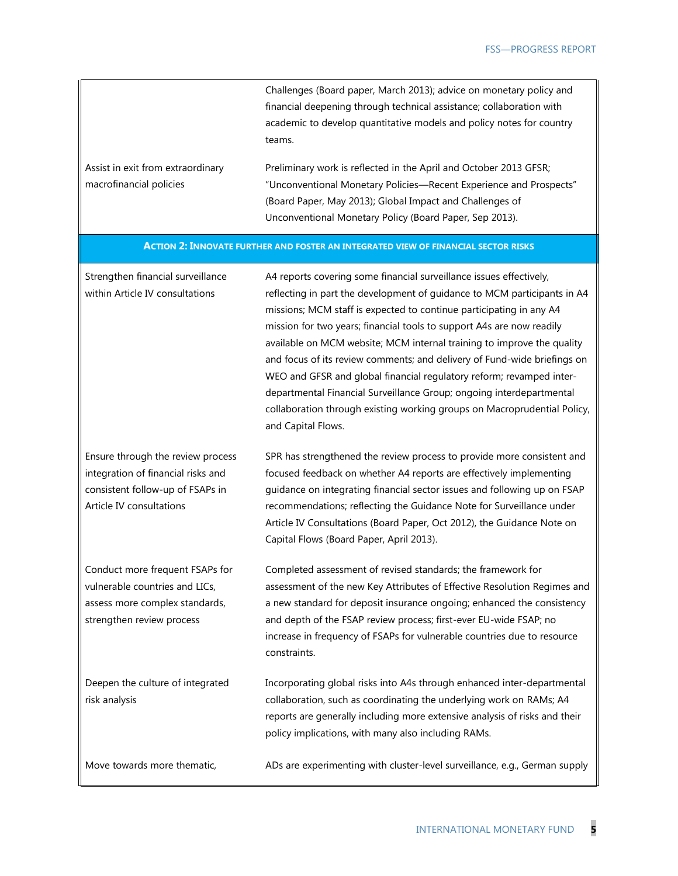|                                                              | Challenges (Board paper, March 2013); advice on monetary policy and<br>financial deepening through technical assistance; collaboration with<br>academic to develop quantitative models and policy notes for country<br>teams.                                  |
|--------------------------------------------------------------|----------------------------------------------------------------------------------------------------------------------------------------------------------------------------------------------------------------------------------------------------------------|
| Assist in exit from extraordinary<br>macrofinancial policies | Preliminary work is reflected in the April and October 2013 GFSR;<br>"Unconventional Monetary Policies—Recent Experience and Prospects"<br>(Board Paper, May 2013); Global Impact and Challenges of<br>Unconventional Monetary Policy (Board Paper, Sep 2013). |

#### **ACTION 2: INNOVATE FURTHER AND FOSTER AN INTEGRATED VIEW OF FINANCIAL SECTOR RISKS**

| Strengthen financial surveillance<br>within Article IV consultations                                                                    | A4 reports covering some financial surveillance issues effectively,<br>reflecting in part the development of guidance to MCM participants in A4<br>missions; MCM staff is expected to continue participating in any A4<br>mission for two years; financial tools to support A4s are now readily<br>available on MCM website; MCM internal training to improve the quality<br>and focus of its review comments; and delivery of Fund-wide briefings on<br>WEO and GFSR and global financial regulatory reform; revamped inter-<br>departmental Financial Surveillance Group; ongoing interdepartmental<br>collaboration through existing working groups on Macroprudential Policy,<br>and Capital Flows. |
|-----------------------------------------------------------------------------------------------------------------------------------------|---------------------------------------------------------------------------------------------------------------------------------------------------------------------------------------------------------------------------------------------------------------------------------------------------------------------------------------------------------------------------------------------------------------------------------------------------------------------------------------------------------------------------------------------------------------------------------------------------------------------------------------------------------------------------------------------------------|
| Ensure through the review process<br>integration of financial risks and<br>consistent follow-up of FSAPs in<br>Article IV consultations | SPR has strengthened the review process to provide more consistent and<br>focused feedback on whether A4 reports are effectively implementing<br>guidance on integrating financial sector issues and following up on FSAP<br>recommendations; reflecting the Guidance Note for Surveillance under<br>Article IV Consultations (Board Paper, Oct 2012), the Guidance Note on<br>Capital Flows (Board Paper, April 2013).                                                                                                                                                                                                                                                                                 |
| Conduct more frequent FSAPs for<br>vulnerable countries and LICs,<br>assess more complex standards,<br>strengthen review process        | Completed assessment of revised standards; the framework for<br>assessment of the new Key Attributes of Effective Resolution Regimes and<br>a new standard for deposit insurance ongoing; enhanced the consistency<br>and depth of the FSAP review process; first-ever EU-wide FSAP; no<br>increase in frequency of FSAPs for vulnerable countries due to resource<br>constraints.                                                                                                                                                                                                                                                                                                                      |
| Deepen the culture of integrated<br>risk analysis                                                                                       | Incorporating global risks into A4s through enhanced inter-departmental<br>collaboration, such as coordinating the underlying work on RAMs; A4<br>reports are generally including more extensive analysis of risks and their<br>policy implications, with many also including RAMs.                                                                                                                                                                                                                                                                                                                                                                                                                     |
| Move towards more thematic,                                                                                                             | ADs are experimenting with cluster-level surveillance, e.g., German supply                                                                                                                                                                                                                                                                                                                                                                                                                                                                                                                                                                                                                              |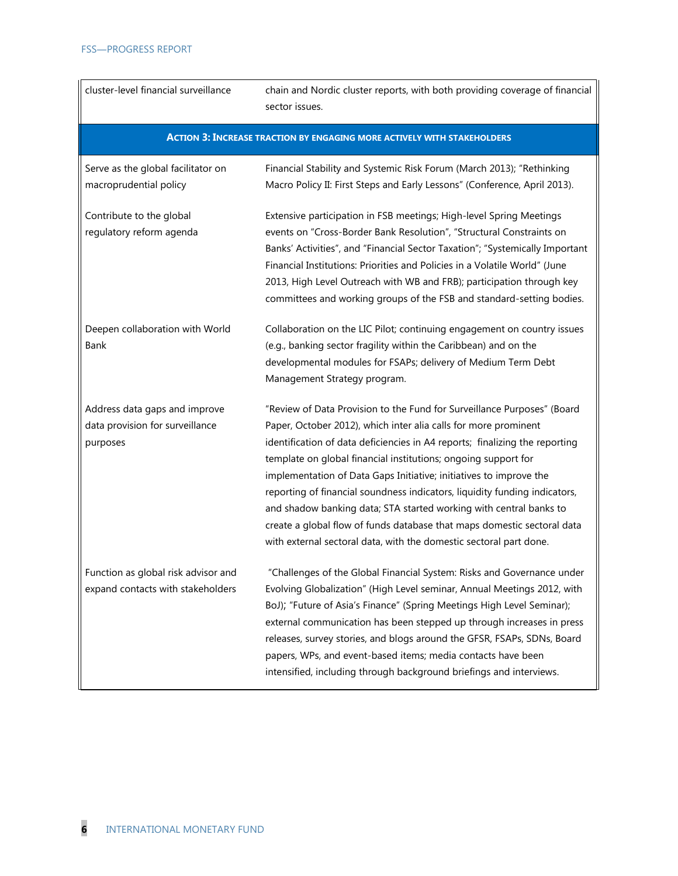| cluster-level financial surveillance                                         | chain and Nordic cluster reports, with both providing coverage of financial<br>sector issues.                                                                                                                                                                                                                                                                                                                                                                                                                                                                                                                                                                          |
|------------------------------------------------------------------------------|------------------------------------------------------------------------------------------------------------------------------------------------------------------------------------------------------------------------------------------------------------------------------------------------------------------------------------------------------------------------------------------------------------------------------------------------------------------------------------------------------------------------------------------------------------------------------------------------------------------------------------------------------------------------|
|                                                                              | <b>ACTION 3: INCREASE TRACTION BY ENGAGING MORE ACTIVELY WITH STAKEHOLDERS</b>                                                                                                                                                                                                                                                                                                                                                                                                                                                                                                                                                                                         |
| Serve as the global facilitator on<br>macroprudential policy                 | Financial Stability and Systemic Risk Forum (March 2013); "Rethinking<br>Macro Policy II: First Steps and Early Lessons" (Conference, April 2013).                                                                                                                                                                                                                                                                                                                                                                                                                                                                                                                     |
| Contribute to the global<br>regulatory reform agenda                         | Extensive participation in FSB meetings; High-level Spring Meetings<br>events on "Cross-Border Bank Resolution", "Structural Constraints on<br>Banks' Activities", and "Financial Sector Taxation"; "Systemically Important<br>Financial Institutions: Priorities and Policies in a Volatile World" (June<br>2013, High Level Outreach with WB and FRB); participation through key<br>committees and working groups of the FSB and standard-setting bodies.                                                                                                                                                                                                            |
| Deepen collaboration with World<br>Bank                                      | Collaboration on the LIC Pilot; continuing engagement on country issues<br>(e.g., banking sector fragility within the Caribbean) and on the<br>developmental modules for FSAPs; delivery of Medium Term Debt<br>Management Strategy program.                                                                                                                                                                                                                                                                                                                                                                                                                           |
| Address data gaps and improve<br>data provision for surveillance<br>purposes | "Review of Data Provision to the Fund for Surveillance Purposes" (Board<br>Paper, October 2012), which inter alia calls for more prominent<br>identification of data deficiencies in A4 reports; finalizing the reporting<br>template on global financial institutions; ongoing support for<br>implementation of Data Gaps Initiative; initiatives to improve the<br>reporting of financial soundness indicators, liquidity funding indicators,<br>and shadow banking data; STA started working with central banks to<br>create a global flow of funds database that maps domestic sectoral data<br>with external sectoral data, with the domestic sectoral part done. |
| Function as global risk advisor and<br>expand contacts with stakeholders     | "Challenges of the Global Financial System: Risks and Governance under<br>Evolving Globalization" (High Level seminar, Annual Meetings 2012, with<br>BoJ); "Future of Asia's Finance" (Spring Meetings High Level Seminar);<br>external communication has been stepped up through increases in press<br>releases, survey stories, and blogs around the GFSR, FSAPs, SDNs, Board<br>papers, WPs, and event-based items; media contacts have been<br>intensified, including through background briefings and interviews.                                                                                                                                                 |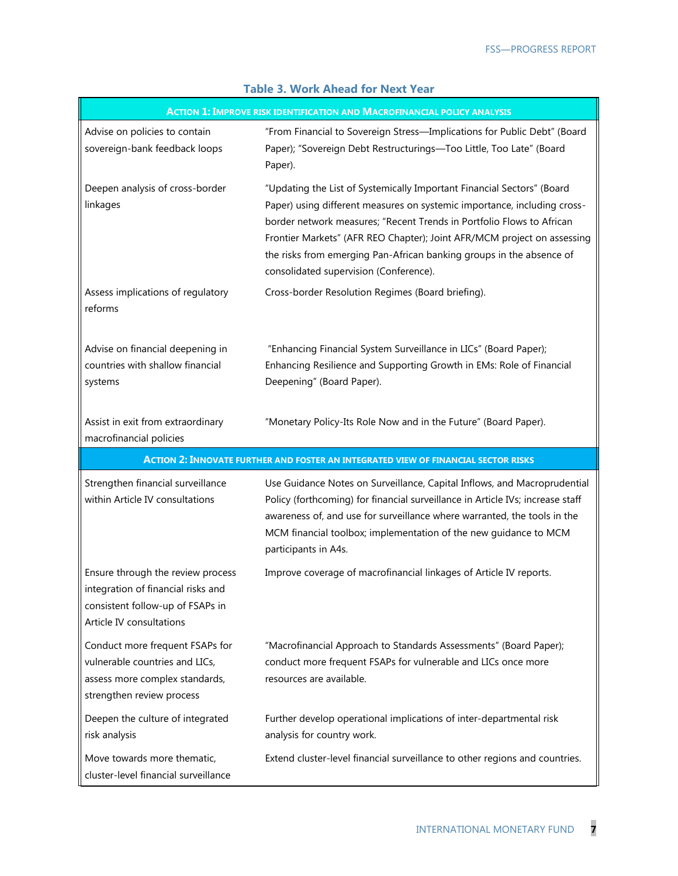| <b>ACTION 1: IMPROVE RISK IDENTIFICATION AND MACROFINANCIAL POLICY ANALYSIS</b>                                                         |                                                                                                                                                                                                                                                                                                                                                                                                                          |  |
|-----------------------------------------------------------------------------------------------------------------------------------------|--------------------------------------------------------------------------------------------------------------------------------------------------------------------------------------------------------------------------------------------------------------------------------------------------------------------------------------------------------------------------------------------------------------------------|--|
| Advise on policies to contain<br>sovereign-bank feedback loops                                                                          | "From Financial to Sovereign Stress-Implications for Public Debt" (Board<br>Paper); "Sovereign Debt Restructurings-Too Little, Too Late" (Board<br>Paper).                                                                                                                                                                                                                                                               |  |
| Deepen analysis of cross-border<br>linkages                                                                                             | "Updating the List of Systemically Important Financial Sectors" (Board<br>Paper) using different measures on systemic importance, including cross-<br>border network measures; "Recent Trends in Portfolio Flows to African<br>Frontier Markets" (AFR REO Chapter); Joint AFR/MCM project on assessing<br>the risks from emerging Pan-African banking groups in the absence of<br>consolidated supervision (Conference). |  |
| Assess implications of regulatory<br>reforms                                                                                            | Cross-border Resolution Regimes (Board briefing).                                                                                                                                                                                                                                                                                                                                                                        |  |
| Advise on financial deepening in<br>countries with shallow financial<br>systems                                                         | "Enhancing Financial System Surveillance in LICs" (Board Paper);<br>Enhancing Resilience and Supporting Growth in EMs: Role of Financial<br>Deepening" (Board Paper).                                                                                                                                                                                                                                                    |  |
| Assist in exit from extraordinary<br>macrofinancial policies                                                                            | "Monetary Policy-Its Role Now and in the Future" (Board Paper).                                                                                                                                                                                                                                                                                                                                                          |  |
|                                                                                                                                         |                                                                                                                                                                                                                                                                                                                                                                                                                          |  |
|                                                                                                                                         | <b>ACTION 2: INNOVATE FURTHER AND FOSTER AN INTEGRATED VIEW OF FINANCIAL SECTOR RISKS</b>                                                                                                                                                                                                                                                                                                                                |  |
| Strengthen financial surveillance<br>within Article IV consultations                                                                    | Use Guidance Notes on Surveillance, Capital Inflows, and Macroprudential<br>Policy (forthcoming) for financial surveillance in Article IVs; increase staff<br>awareness of, and use for surveillance where warranted, the tools in the<br>MCM financial toolbox; implementation of the new guidance to MCM<br>participants in A4s.                                                                                       |  |
| Ensure through the review process<br>integration of financial risks and<br>consistent follow-up of FSAPs in<br>Article IV consultations | Improve coverage of macrofinancial linkages of Article IV reports.                                                                                                                                                                                                                                                                                                                                                       |  |
| Conduct more frequent FSAPs for<br>vulnerable countries and LICs,<br>assess more complex standards,<br>strengthen review process        | "Macrofinancial Approach to Standards Assessments" (Board Paper);<br>conduct more frequent FSAPs for vulnerable and LICs once more<br>resources are available.                                                                                                                                                                                                                                                           |  |
| Deepen the culture of integrated<br>risk analysis                                                                                       | Further develop operational implications of inter-departmental risk<br>analysis for country work.                                                                                                                                                                                                                                                                                                                        |  |

#### **Table 3. Work Ahead for Next Year**